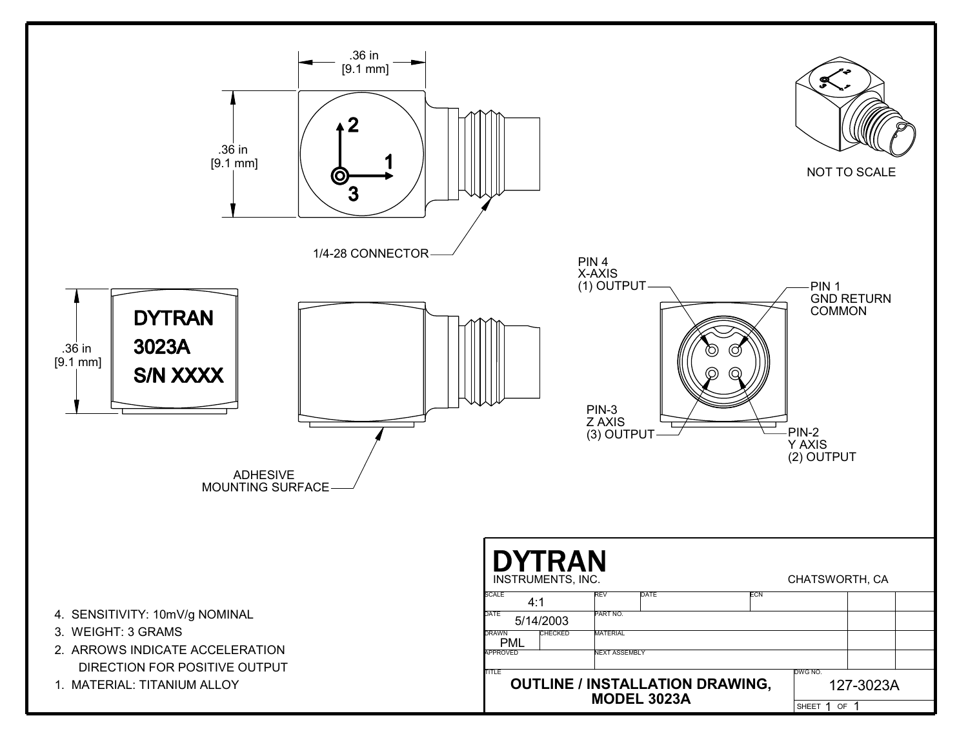